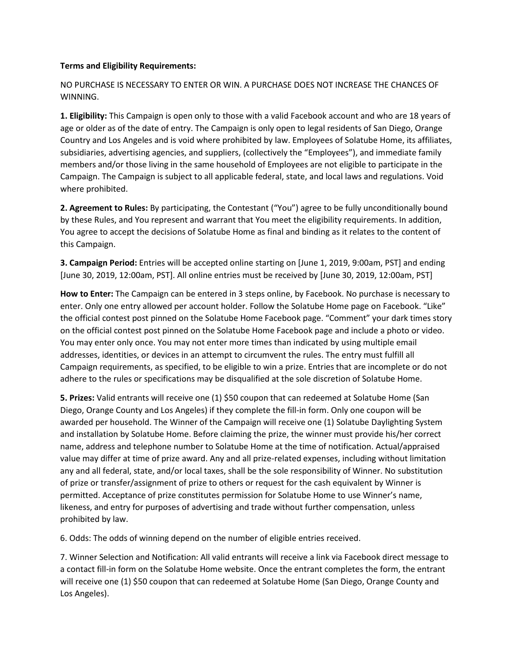## **Terms and Eligibility Requirements:**

NO PURCHASE IS NECESSARY TO ENTER OR WIN. A PURCHASE DOES NOT INCREASE THE CHANCES OF WINNING.

**1. Eligibility:** This Campaign is open only to those with a valid Facebook account and who are 18 years of age or older as of the date of entry. The Campaign is only open to legal residents of San Diego, Orange Country and Los Angeles and is void where prohibited by law. Employees of Solatube Home, its affiliates, subsidiaries, advertising agencies, and suppliers, (collectively the "Employees"), and immediate family members and/or those living in the same household of Employees are not eligible to participate in the Campaign. The Campaign is subject to all applicable federal, state, and local laws and regulations. Void where prohibited.

**2. Agreement to Rules:** By participating, the Contestant ("You") agree to be fully unconditionally bound by these Rules, and You represent and warrant that You meet the eligibility requirements. In addition, You agree to accept the decisions of Solatube Home as final and binding as it relates to the content of this Campaign.

**3. Campaign Period:** Entries will be accepted online starting on [June 1, 2019, 9:00am, PST] and ending [June 30, 2019, 12:00am, PST]. All online entries must be received by [June 30, 2019, 12:00am, PST]

**How to Enter:** The Campaign can be entered in 3 steps online, by Facebook. No purchase is necessary to enter. Only one entry allowed per account holder. Follow the Solatube Home page on Facebook. "Like" the official contest post pinned on the Solatube Home Facebook page. "Comment" your dark times story on the official contest post pinned on the Solatube Home Facebook page and include a photo or video. You may enter only once. You may not enter more times than indicated by using multiple email addresses, identities, or devices in an attempt to circumvent the rules. The entry must fulfill all Campaign requirements, as specified, to be eligible to win a prize. Entries that are incomplete or do not adhere to the rules or specifications may be disqualified at the sole discretion of Solatube Home.

**5. Prizes:** Valid entrants will receive one (1) \$50 coupon that can redeemed at Solatube Home (San Diego, Orange County and Los Angeles) if they complete the fill-in form. Only one coupon will be awarded per household. The Winner of the Campaign will receive one (1) Solatube Daylighting System and installation by Solatube Home. Before claiming the prize, the winner must provide his/her correct name, address and telephone number to Solatube Home at the time of notification. Actual/appraised value may differ at time of prize award. Any and all prize-related expenses, including without limitation any and all federal, state, and/or local taxes, shall be the sole responsibility of Winner. No substitution of prize or transfer/assignment of prize to others or request for the cash equivalent by Winner is permitted. Acceptance of prize constitutes permission for Solatube Home to use Winner's name, likeness, and entry for purposes of advertising and trade without further compensation, unless prohibited by law.

6. Odds: The odds of winning depend on the number of eligible entries received.

7. Winner Selection and Notification: All valid entrants will receive a link via Facebook direct message to a contact fill-in form on the Solatube Home website. Once the entrant completes the form, the entrant will receive one (1) \$50 coupon that can redeemed at Solatube Home (San Diego, Orange County and Los Angeles).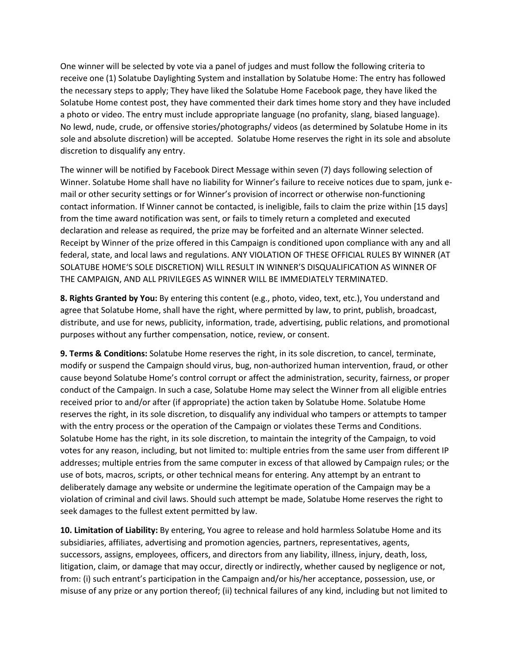One winner will be selected by vote via a panel of judges and must follow the following criteria to receive one (1) Solatube Daylighting System and installation by Solatube Home: The entry has followed the necessary steps to apply; They have liked the Solatube Home Facebook page, they have liked the Solatube Home contest post, they have commented their dark times home story and they have included a photo or video. The entry must include appropriate language (no profanity, slang, biased language). No lewd, nude, crude, or offensive stories/photographs/ videos (as determined by Solatube Home in its sole and absolute discretion) will be accepted. Solatube Home reserves the right in its sole and absolute discretion to disqualify any entry.

The winner will be notified by Facebook Direct Message within seven (7) days following selection of Winner. Solatube Home shall have no liability for Winner's failure to receive notices due to spam, junk email or other security settings or for Winner's provision of incorrect or otherwise non-functioning contact information. If Winner cannot be contacted, is ineligible, fails to claim the prize within [15 days] from the time award notification was sent, or fails to timely return a completed and executed declaration and release as required, the prize may be forfeited and an alternate Winner selected. Receipt by Winner of the prize offered in this Campaign is conditioned upon compliance with any and all federal, state, and local laws and regulations. ANY VIOLATION OF THESE OFFICIAL RULES BY WINNER (AT SOLATUBE HOME'S SOLE DISCRETION) WILL RESULT IN WINNER'S DISQUALIFICATION AS WINNER OF THE CAMPAIGN, AND ALL PRIVILEGES AS WINNER WILL BE IMMEDIATELY TERMINATED.

**8. Rights Granted by You:** By entering this content (e.g., photo, video, text, etc.), You understand and agree that Solatube Home, shall have the right, where permitted by law, to print, publish, broadcast, distribute, and use for news, publicity, information, trade, advertising, public relations, and promotional purposes without any further compensation, notice, review, or consent.

**9. Terms & Conditions:** Solatube Home reserves the right, in its sole discretion, to cancel, terminate, modify or suspend the Campaign should virus, bug, non-authorized human intervention, fraud, or other cause beyond Solatube Home's control corrupt or affect the administration, security, fairness, or proper conduct of the Campaign. In such a case, Solatube Home may select the Winner from all eligible entries received prior to and/or after (if appropriate) the action taken by Solatube Home. Solatube Home reserves the right, in its sole discretion, to disqualify any individual who tampers or attempts to tamper with the entry process or the operation of the Campaign or violates these Terms and Conditions. Solatube Home has the right, in its sole discretion, to maintain the integrity of the Campaign, to void votes for any reason, including, but not limited to: multiple entries from the same user from different IP addresses; multiple entries from the same computer in excess of that allowed by Campaign rules; or the use of bots, macros, scripts, or other technical means for entering. Any attempt by an entrant to deliberately damage any website or undermine the legitimate operation of the Campaign may be a violation of criminal and civil laws. Should such attempt be made, Solatube Home reserves the right to seek damages to the fullest extent permitted by law.

**10. Limitation of Liability:** By entering, You agree to release and hold harmless Solatube Home and its subsidiaries, affiliates, advertising and promotion agencies, partners, representatives, agents, successors, assigns, employees, officers, and directors from any liability, illness, injury, death, loss, litigation, claim, or damage that may occur, directly or indirectly, whether caused by negligence or not, from: (i) such entrant's participation in the Campaign and/or his/her acceptance, possession, use, or misuse of any prize or any portion thereof; (ii) technical failures of any kind, including but not limited to